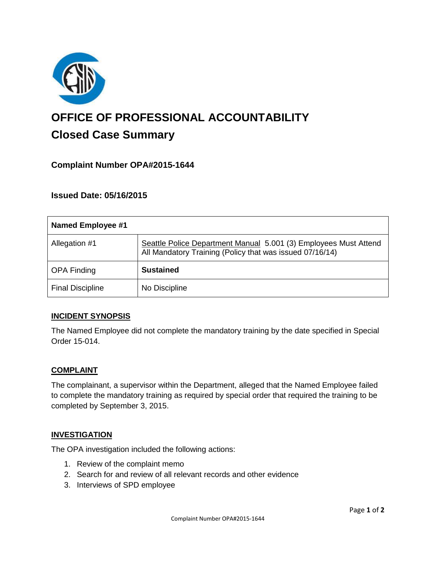

# **OFFICE OF PROFESSIONAL ACCOUNTABILITY Closed Case Summary**

# **Complaint Number OPA#2015-1644**

## **Issued Date: 05/16/2015**

| <b>Named Employee #1</b> |                                                                                                                              |
|--------------------------|------------------------------------------------------------------------------------------------------------------------------|
| Allegation #1            | Seattle Police Department Manual 5.001 (3) Employees Must Attend<br>All Mandatory Training (Policy that was issued 07/16/14) |
| <b>OPA Finding</b>       | <b>Sustained</b>                                                                                                             |
| <b>Final Discipline</b>  | No Discipline                                                                                                                |

#### **INCIDENT SYNOPSIS**

The Named Employee did not complete the mandatory training by the date specified in Special Order 15-014.

#### **COMPLAINT**

The complainant, a supervisor within the Department, alleged that the Named Employee failed to complete the mandatory training as required by special order that required the training to be completed by September 3, 2015.

#### **INVESTIGATION**

The OPA investigation included the following actions:

- 1. Review of the complaint memo
- 2. Search for and review of all relevant records and other evidence
- 3. Interviews of SPD employee